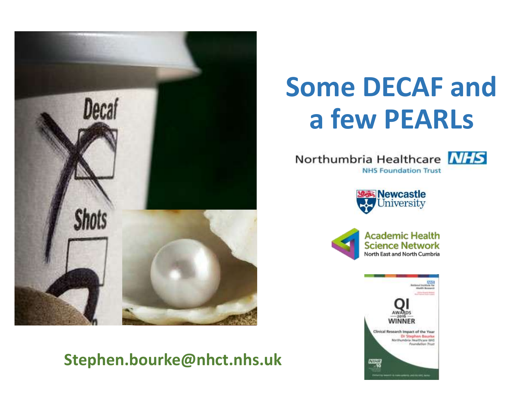

### **Stephen.bourke@nhct.nhs.uk**

# **Some DECAF and a few PEARLs**

Northumbria Healthcare NHS **NHS Foundation Trust** 



**Newcastle** University



**Academic Health Science Network** North East and North Cumbria

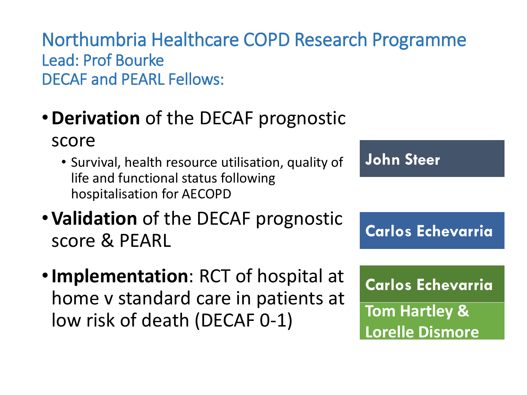Northumbria Healthcare COPD Research Programme Lead: Prof Bourke DECAF and PEARL Fellows:

- •**Derivation** of the DECAF prognostic score
	- Survival, health resource utilisation, quality of life and functional status following hospitalisation for AECOPD
- •**Validation** of the DECAF prognostic score & PEARL
- •**Implementation**: RCT of hospital at home v standard care in patients at low risk of death (DECAF 0-1)

**John Steer**

**Carlos Echevarria**

**Carlos Echevarria**

**Tom Hartley & Lorelle Dismore**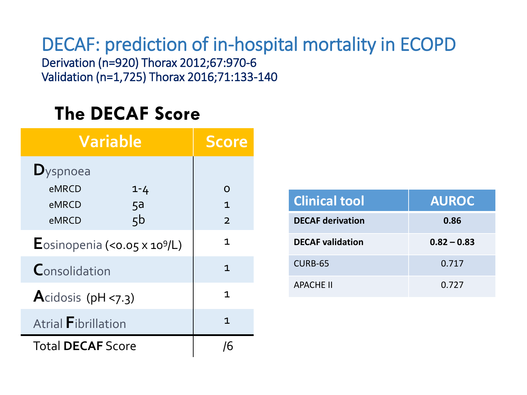DECAF: prediction of in-hospital mortality in ECOPD Derivation (n=920) Thorax 2012;67:970-6 Validation (n=1,725) Thorax 2016;71:133-140

### **The DECAF Score**

| <b>Variable</b>                       |         | <b>Score</b>   |
|---------------------------------------|---------|----------------|
| $\mathbf{D}_{\text{yspnoea}}$         |         |                |
| eMRCD                                 | $1 - 4$ | $\Omega$       |
| eMRCD<br>5a                           |         | $\mathbf{1}$   |
| 5 <sub>b</sub><br>eMRCD               |         | $\overline{2}$ |
| Eosinopenia (< $0.05 \times 10^9$ /L) |         | $\mathbf 1$    |
| Consolidation                         |         | $\mathbf{1}$   |
| Acidosis ( $pH < 7.3$ )               |         | 1              |
| <b>Atrial Fibrillation</b>            |         | 1              |
| <b>Total DECAF Score</b>              |         | /6             |

| <b>Clinical tool</b>    | <b>AUROC</b>  |
|-------------------------|---------------|
| <b>DECAF derivation</b> | 0.86          |
| <b>DECAF</b> validation | $0.82 - 0.83$ |
| CURB-65                 | 0.717         |
| <b>APACHE II</b>        | 0.727         |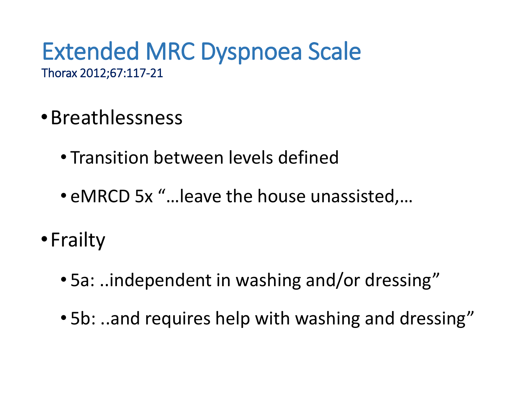### Extended MRC Dyspnoea Scale Thorax 2012;67:117-21

- •Breathlessness
	- Transition between levels defined
	- eMRCD 5x "…leave the house unassisted,…
- •Frailty
	- 5a: ..independent in washing and/or dressing"
	- 5b: ..and requires help with washing and dressing"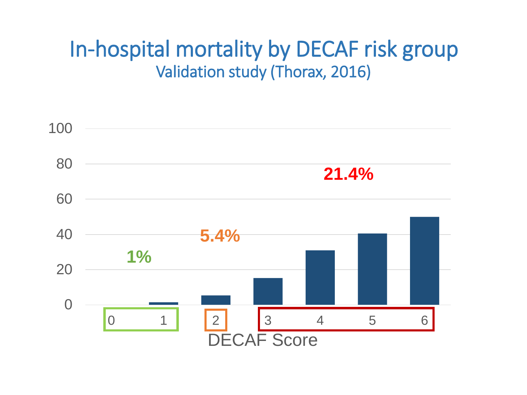### In-hospital mortality by DECAF risk group Validation study (Thorax, 2016)

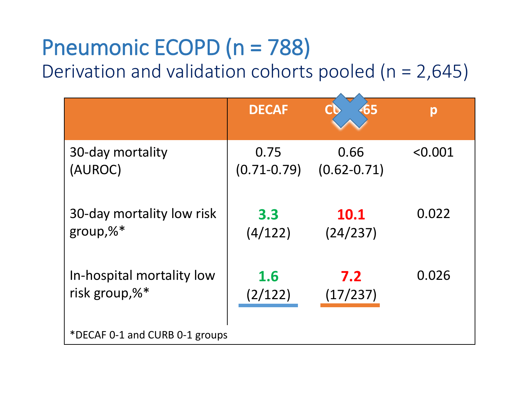### Pneumonic ECOPD (n = 788) Derivation and validation cohorts pooled (n = 2,645)

|                                | <b>DECAF</b>    | 65              | р       |  |
|--------------------------------|-----------------|-----------------|---------|--|
| 30-day mortality               | 0.75            | 0.66            | < 0.001 |  |
| (AUROC)                        | $(0.71 - 0.79)$ | $(0.62 - 0.71)$ |         |  |
| 30-day mortality low risk      | 3.3             | <b>10.1</b>     | 0.022   |  |
| group, $\%^*$                  | (4/122)         | (24/237)        |         |  |
| In-hospital mortality low      | 1.6             | 7.2             | 0.026   |  |
| risk group, $\%^*$             | (2/122)         | (17/237)        |         |  |
| *DECAF 0-1 and CURB 0-1 groups |                 |                 |         |  |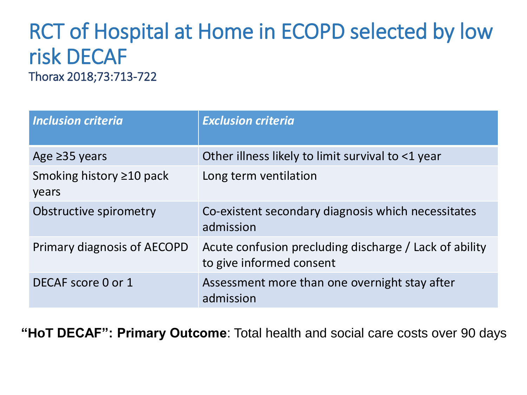### RCT of Hospital at Home in ECOPD selected by low risk DECAF Thorax 2018;73:713-722

| <b>Inclusion criteria</b>               | <b>Exclusion criteria</b>                                                          |
|-----------------------------------------|------------------------------------------------------------------------------------|
| Age $\geq$ 35 years                     | Other illness likely to limit survival to <1 year                                  |
| Smoking history $\geq$ 10 pack<br>years | Long term ventilation                                                              |
| Obstructive spirometry                  | Co-existent secondary diagnosis which necessitates<br>admission                    |
| Primary diagnosis of AECOPD             | Acute confusion precluding discharge / Lack of ability<br>to give informed consent |
| DECAF score 0 or 1                      | Assessment more than one overnight stay after<br>admission                         |

**"HoT DECAF": Primary Outcome**: Total health and social care costs over 90 days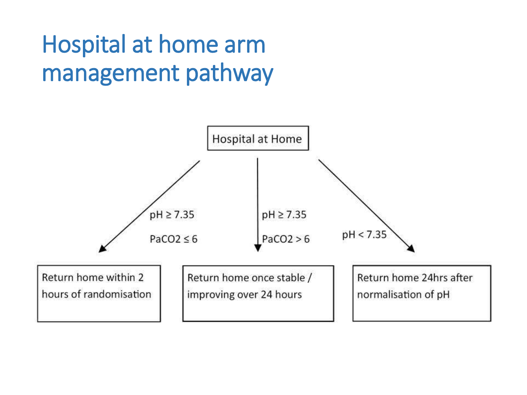## Hospital at home arm management pathway

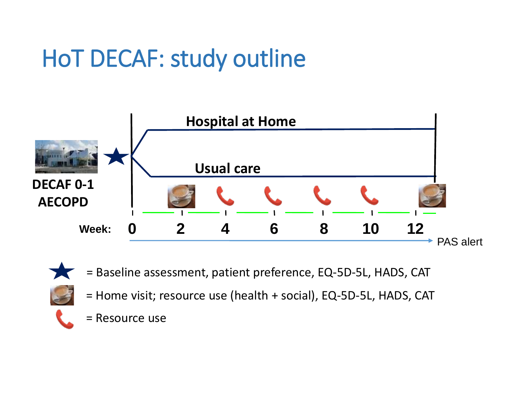# HoT DECAF: study outline



- 
- = Baseline assessment, patient preference, EQ-5D-5L, HADS, CAT
- = Home visit; resource use (health + social), EQ-5D-5L, HADS, CAT
- = Resource use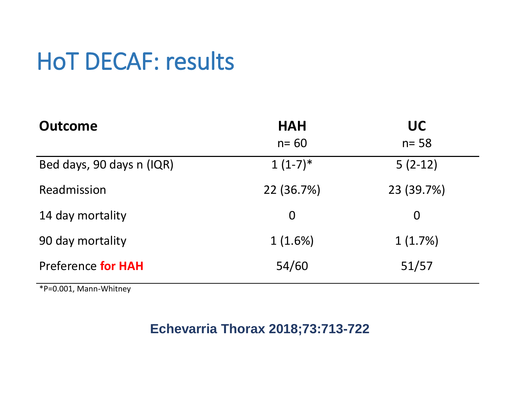## HoT DECAF: results

| <b>Outcome</b>            | <b>HAH</b><br>$n = 60$ | <b>UC</b><br>$n = 58$ |
|---------------------------|------------------------|-----------------------|
| Bed days, 90 days n (IQR) | $1(1-7)*$              | $5(2-12)$             |
| Readmission               | 22 (36.7%)             | 23 (39.7%)            |
| 14 day mortality          | $\Omega$               | $\bm{0}$              |
| 90 day mortality          | 1(1.6%)                | 1(1.7%)               |
| Preference for HAH        | 54/60                  | 51/57                 |

\*P=0.001, Mann-Whitney

### **Echevarria Thorax 2018;73:713-722**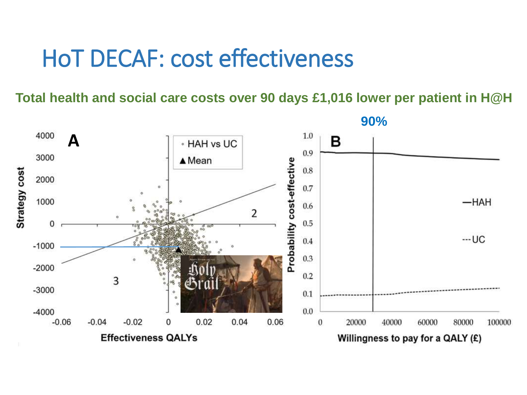### HoT DECAF: cost effectiveness

**Total health and social care costs over 90 days £1,016 lower per patient in H@H**

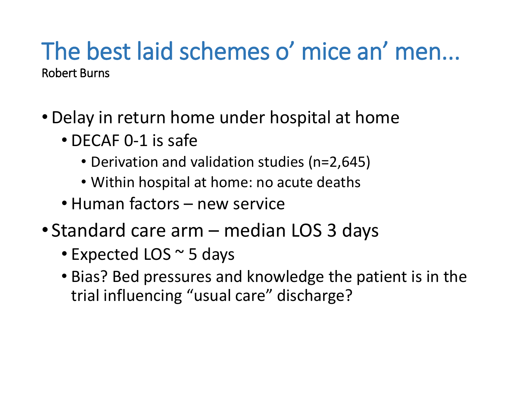### The best laid schemes o' mice an' men... Robert Burns

- Delay in return home under hospital at home
	- DECAF 0-1 is safe
		- Derivation and validation studies (n=2,645)
		- Within hospital at home: no acute deaths
	- Human factors new service
- Standard care arm median LOS 3 days
	- Expected LOS ~ 5 days
	- Bias? Bed pressures and knowledge the patient is in the trial influencing "usual care" discharge?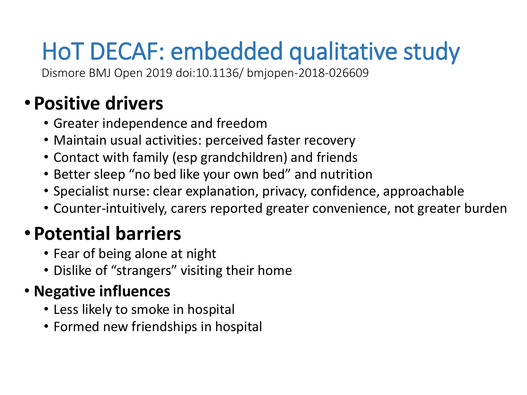# HoT DECAF: embedded qualitative study

Dismore BMJ Open 2019 doi:10.1136/ bmjopen-2018-026609

### • **Positive drivers**

- Greater independence and freedom
- Maintain usual activities: perceived faster recovery
- Contact with family (esp grandchildren) and friends
- Better sleep "no bed like your own bed" and nutrition
- Specialist nurse: clear explanation, privacy, confidence, approachable
- Counter-intuitively, carers reported greater convenience, not greater burden

### • **Potential barriers**

- Fear of being alone at night
- Dislike of "strangers" visiting their home

### • **Negative influences**

- Less likely to smoke in hospital
- Formed new friendships in hospital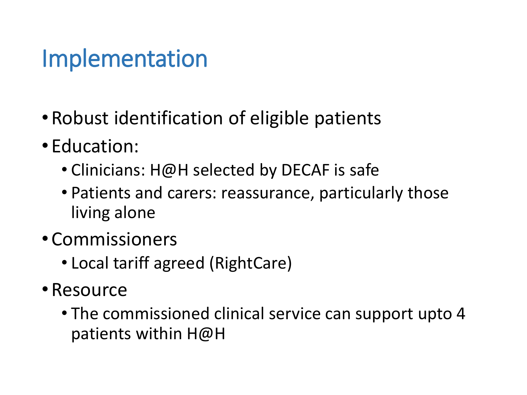## Implementation

- Robust identification of eligible patients
- Education:
	- Clinicians: H@H selected by DECAF is safe
	- Patients and carers: reassurance, particularly those living alone
- Commissioners
	- Local tariff agreed (RightCare)
- •Resource
	- The commissioned clinical service can support upto 4 patients within H@H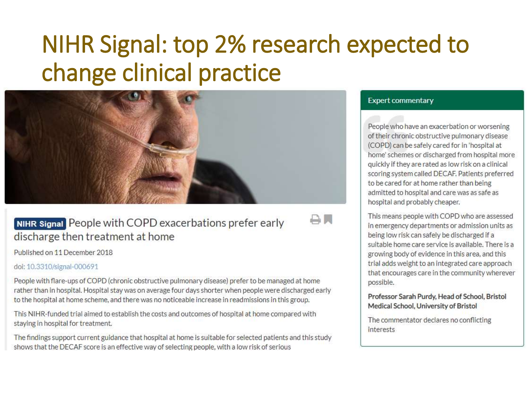## NIHR Signal: top 2% research expected to change clinical practice

**AL** 



**NIHR Signal** People with COPD exacerbations prefer early discharge then treatment at home

Published on 11 December 2018

#### doi: 10.3310/signal-000691

People with flare-ups of COPD (chronic obstructive pulmonary disease) prefer to be managed at home rather than in hospital. Hospital stay was on average four days shorter when people were discharged early to the hospital at home scheme, and there was no noticeable increase in readmissions in this group.

This NIHR-funded trial aimed to establish the costs and outcomes of hospital at home compared with staying in hospital for treatment.

The findings support current guidance that hospital at home is suitable for selected patients and this study shows that the DECAF score is an effective way of selecting people, with a low risk of serious

#### **Expert commentary**

People who have an exacerbation or worsening of their chronic obstructive pulmonary disease (COPD) can be safely cared for in 'hospital at home' schemes or discharged from hospital more quickly if they are rated as low risk on a clinical scoring system called DECAF. Patients preferred to be cared for at home rather than being admitted to hospital and care was as safe as hospital and probably cheaper.

This means people with COPD who are assessed in emergency departments or admission units as being low risk can safely be discharged if a suitable home care service is available. There is a growing body of evidence in this area, and this trial adds weight to an integrated care approach that encourages care in the community wherever possible.

#### Professor Sarah Purdy, Head of School, Bristol Medical School, University of Bristol

The commentator declares no conflicting **interests**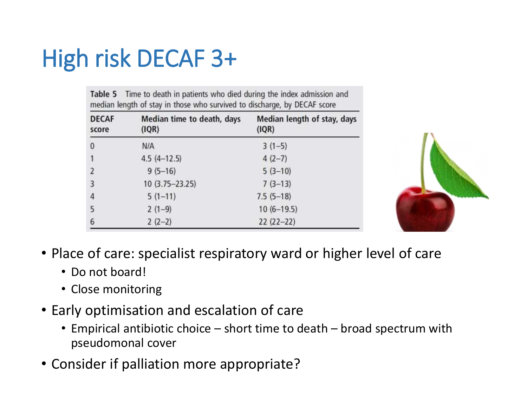# High risk DECAF 3+

Table 5 Time to death in patients who died during the index admission and median length of stay in those who survived to discharge, by DECAF score

| <b>DECAF</b><br>score | Median time to death, days<br>(IQR) | Median length of stay, days<br>(IQR) |
|-----------------------|-------------------------------------|--------------------------------------|
| $\bf{0}$              | N/A                                 | $3(1-5)$                             |
|                       | $4.5(4-12.5)$                       | $4(2-7)$                             |
| $\overline{2}$        | $9(5-16)$                           | $5(3-10)$                            |
| $\overline{3}$        | 10 (3.75-23.25)                     | $7(3-13)$                            |
| 4                     | $5(1-11)$                           | $7.5(5-18)$                          |
| 5                     | $2(1-9)$                            | $10(6-19.5)$                         |
| 6                     | $2(2-2)$                            | $22(22-22)$                          |



- Place of care: specialist respiratory ward or higher level of care
	- Do not board!
	- Close monitoring
- Early optimisation and escalation of care
	- Empirical antibiotic choice short time to death broad spectrum with pseudomonal cover
- Consider if palliation more appropriate?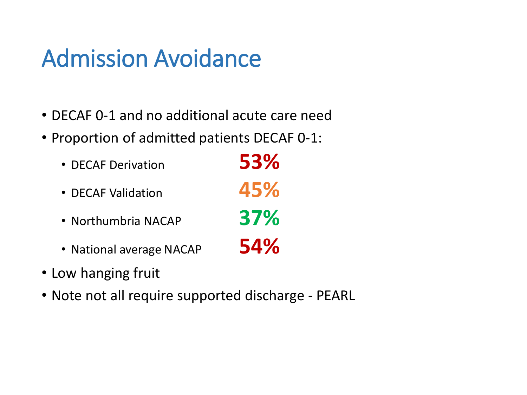## Admission Avoidance

- DECAF 0-1 and no additional acute care need
- Proportion of admitted patients DECAF 0-1:

| • DECAF Derivation       | 53% |
|--------------------------|-----|
| • DECAF Validation       | 45% |
| • Northumbria NACAP      | 37% |
| • National average NACAP | 54% |

- Low hanging fruit
- Note not all require supported discharge PEARL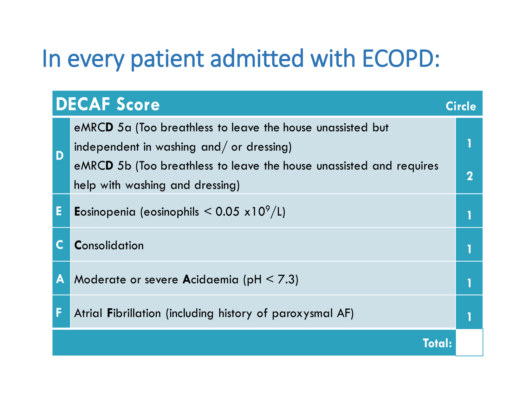## In every patient admitted with ECOPD:

|    | <b>DECAF Score</b>                                                                                                                                                                                               | <b>Circle</b> |
|----|------------------------------------------------------------------------------------------------------------------------------------------------------------------------------------------------------------------|---------------|
| D  | eMRCD 5a (Too breathless to leave the house unassisted but<br>independent in washing and/ or dressing)<br>eMRCD 5b (Too breathless to leave the house unassisted and requires<br>help with washing and dressing) | $\mathbf 2$   |
| E. | <b>E</b> osinopenia (eosinophils $\leq 0.05 \times 10^9 / L$ )                                                                                                                                                   |               |
|    | Consolidation                                                                                                                                                                                                    |               |
| A  | Moderate or severe Acidaemia (pH $\leq$ 7.3)                                                                                                                                                                     |               |
| F  | Atrial Fibrillation (including history of paroxysmal AF)                                                                                                                                                         |               |
|    | Total:                                                                                                                                                                                                           |               |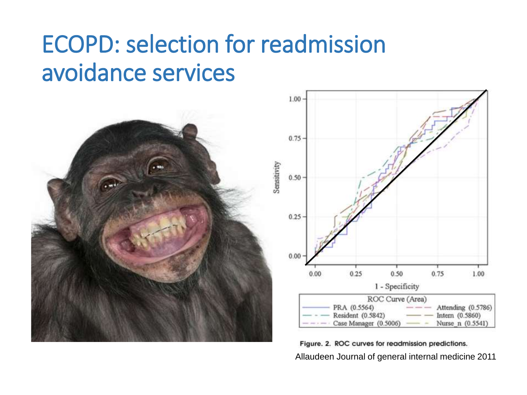## ECOPD: selection for readmission avoidance services



Figure. 2. ROC curves for readmission predictions. Allaudeen Journal of general internal medicine 2011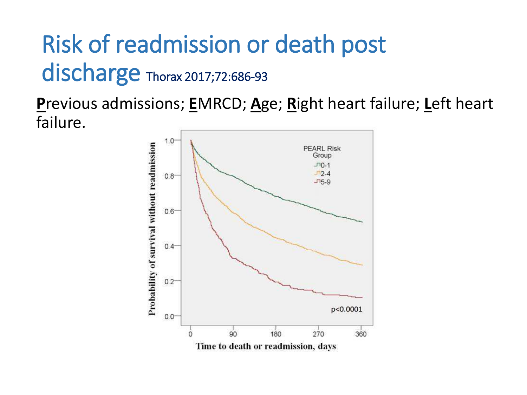# Risk of readmission or death post discharge Thorax 2017;72:686-93

**P**revious admissions; **E**MRCD; **A**ge; **R**ight heart failure; **L**eft heart failure.

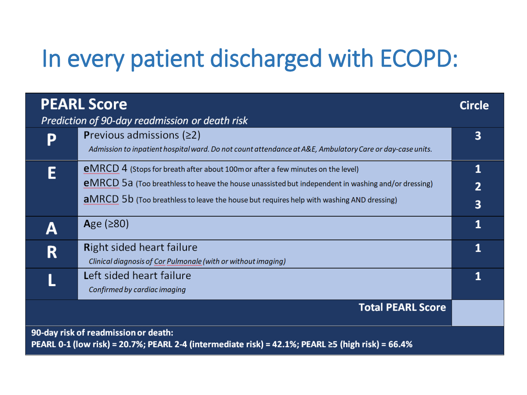## In every patient discharged with ECOPD:

|                                                                                                                                           | <b>PEARL Score</b><br>Prediction of 90-day readmission or death risk                                                                                                                                                                                                                            | <b>Circle</b>            |
|-------------------------------------------------------------------------------------------------------------------------------------------|-------------------------------------------------------------------------------------------------------------------------------------------------------------------------------------------------------------------------------------------------------------------------------------------------|--------------------------|
| D                                                                                                                                         | <b>Previous admissions (<math>\geq</math>2)</b><br>Admission to inpatient hospital ward. Do not count attendance at A&E, Ambulatory Care or day-case units.                                                                                                                                     | 3                        |
|                                                                                                                                           | <b>eMRCD</b> 4 (Stops for breath after about 100m or after a few minutes on the level)<br><b>eMRCD</b> 5a (Too breathless to heave the house unassisted but independent in washing and/or dressing)<br>aMRCD 5b (Too breathless to leave the house but requires help with washing AND dressing) | 1<br>$\overline{2}$<br>3 |
| А                                                                                                                                         | Age $(280)$                                                                                                                                                                                                                                                                                     | 1                        |
| R                                                                                                                                         | <b>Right sided heart failure</b><br>Clinical diagnosis of Cor Pulmonale (with or without imaging)                                                                                                                                                                                               | 1                        |
|                                                                                                                                           | Left sided heart failure<br>Confirmed by cardiac imaging                                                                                                                                                                                                                                        | 1                        |
|                                                                                                                                           | <b>Total PEARL Score</b>                                                                                                                                                                                                                                                                        |                          |
| 90-day risk of readmission or death:<br>PEARL 0-1 (low risk) = 20.7%; PEARL 2-4 (intermediate risk) = 42.1%; PEARL ≥5 (high risk) = 66.4% |                                                                                                                                                                                                                                                                                                 |                          |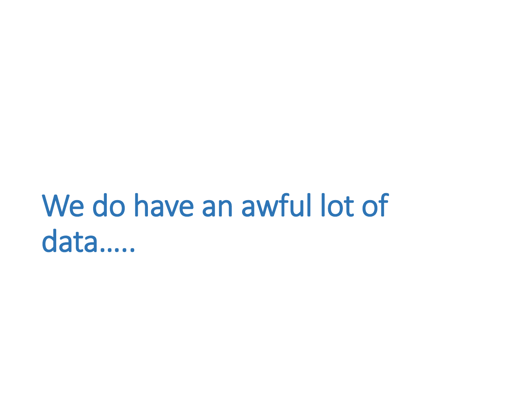# We do have an awful lot of data…..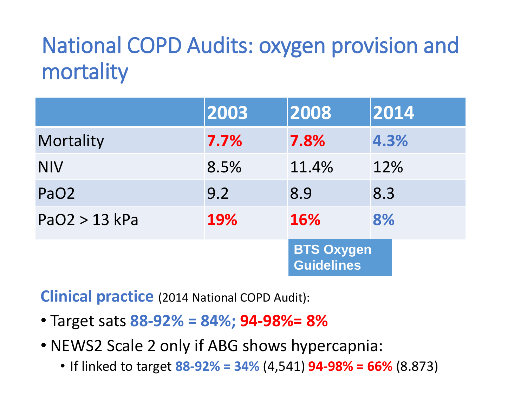## National COPD Audits: oxygen provision and mortality

|                  | 2003       | 2008                                   | 2014 |
|------------------|------------|----------------------------------------|------|
| Mortality        | 7.7%       | 7.8%                                   | 4.3% |
| <b>NIV</b>       | 8.5%       | 11.4%                                  | 12%  |
| PaO <sub>2</sub> | 9.2        | 8.9                                    | 8.3  |
| PaO2 > 13 kPa    | <b>19%</b> | 16%                                    | 8%   |
|                  |            | <b>BTS Oxygen</b><br><b>Guidelines</b> |      |

**Clinical practice** (2014 National COPD Audit):

- Target sats **88-92% = 84%; 94-98%= 8%**
- NEWS2 Scale 2 only if ABG shows hypercapnia:
	- If linked to target **88-92% = 34%** (4,541) **94-98% = 66%** (8.873)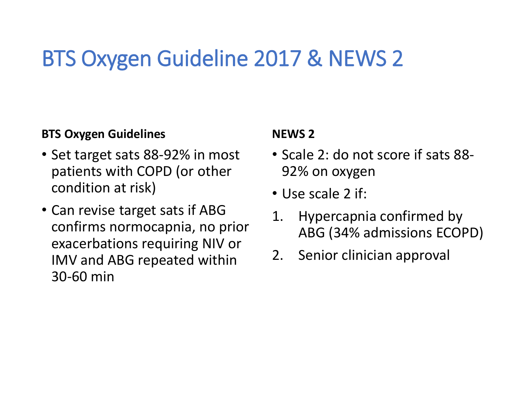## BTS Oxygen Guideline 2017 & NEWS 2

### **BTS Oxygen Guidelines**

- Set target sats 88-92% in most patients with COPD (or other condition at risk)
- Can revise target sats if ABG confirms normocapnia, no prior exacerbations requiring NIV or IMV and ABG repeated within 30-60 min

### **NEWS 2**

- Scale 2: do not score if sats 88- 92% on oxygen
- Use scale 2 if:
- 1. Hypercapnia confirmed by ABG (34% admissions ECOPD)
- 2. Senior clinician approval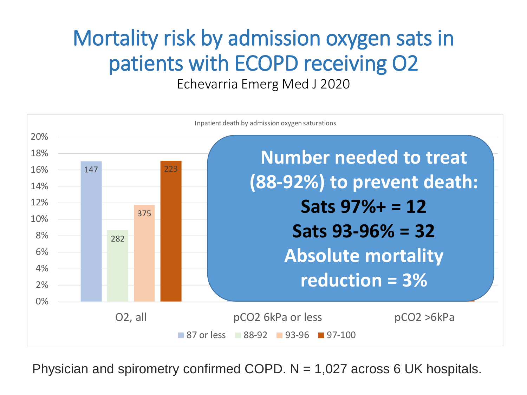### Mortality risk by admission oxygen sats in patients with ECOPD receiving O2 Echevarria Emerg Med J 2020



Physician and spirometry confirmed COPD.  $N = 1,027$  across 6 UK hospitals.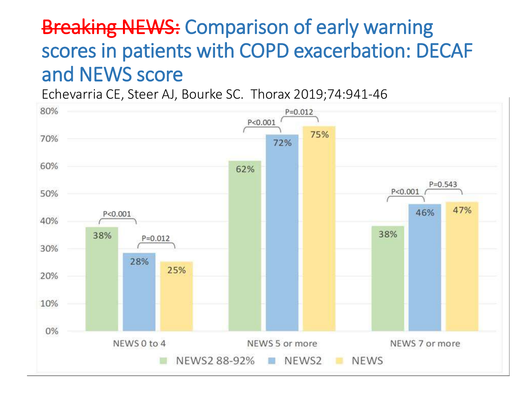### **Breaking NEWS: Comparison of early warning** scores in patients with COPD exacerbation: DECAF and NEWS score

Echevarria CE, Steer AJ, Bourke SC. Thorax 2019;74:941-46

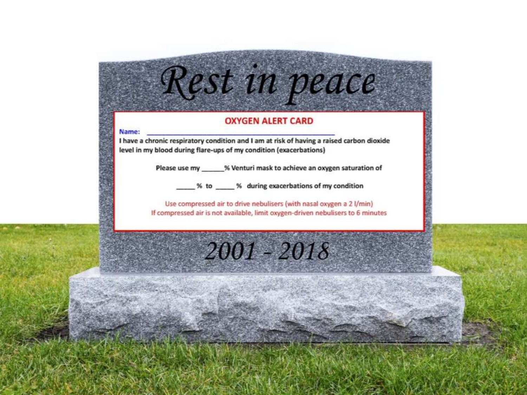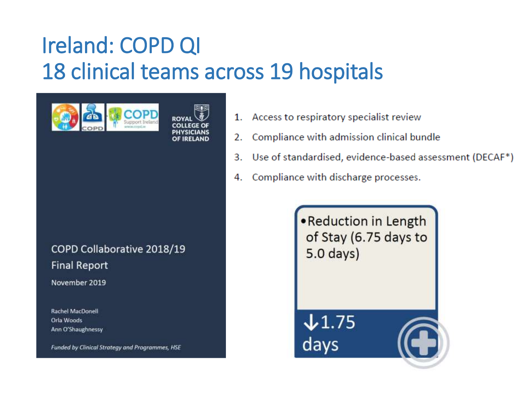## Ireland: COPD QI 18 clinical teams across 19 hospitals



COPD Collaborative 2018/19 **Final Report** 

November 2019

Rachel MacDonell Orla Woods Ann O'Shaughnessy

Funded by Clinical Strategy and Programmes, HSE

- Access to respiratory specialist review 1.
- Compliance with admission clinical bundle 2.
- 3. Use of standardised, evidence-based assessment (DECAF<sup>\*</sup>)
- Compliance with discharge processes. 4.

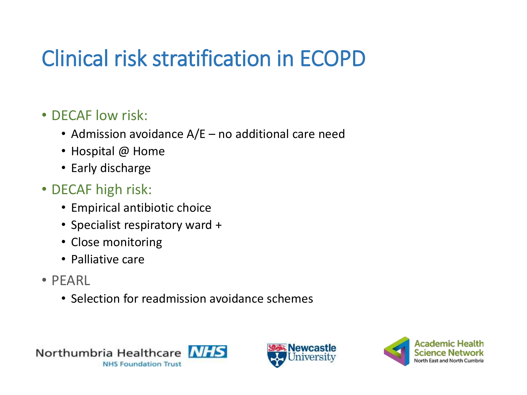## Clinical risk stratification in ECOPD

### • DECAF low risk:

- Admission avoidance A/E no additional care need
- Hospital @ Home
- Early discharge

### • DECAF high risk:

- Empirical antibiotic choice
- Specialist respiratory ward +
- Close monitoring
- Palliative care
- PEARL
	- Selection for readmission avoidance schemes